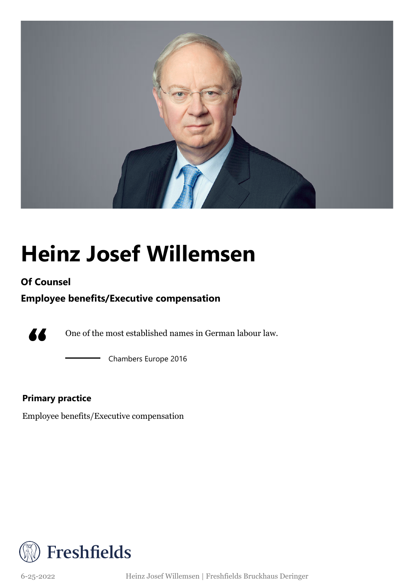

## **Heinz Josef Willemsen**

### **Of Counsel**

### **Employee benefits/Executive compensation**



One of the most established names in German labour law.

Chambers Europe 2016

### **Primary practice**

Employee benefits/Executive compensation



6-25-2022 Heinz Josef Willemsen | Freshfields Bruckhaus Deringer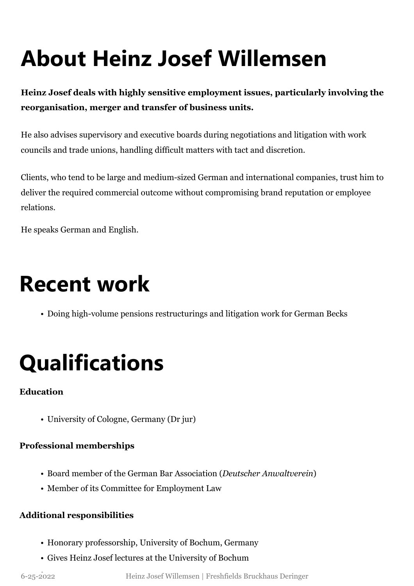# **About Heinz Josef Willemsen**

**Heinz Josef deals with highly sensitive employment issues, particularly involving the reorganisation, merger and transfer of business units.**

He also advises supervisory and executive boards during negotiations and litigation with work councils and trade unions, handling difficult matters with tact and discretion.

Clients, who tend to be large and medium-sized German and international companies, trust him to deliver the required commercial outcome without compromising brand reputation or employee relations.

He speaks German and English.

### **Recent work**

• Doing high-volume pensions restructurings and litigation work for German Becks

# **Qualifications**

### **Education**

• University of Cologne, Germany (Dr jur)

### **Professional memberships**

- Board member of the German Bar Association (*Deutscher Anwaltverein*)
- Member of its Committee for Employment Law

### **Additional responsibilities**

- Honorary professorship, University of Bochum, Germany
- Gives Heinz Josef lectures at the University of Bochum